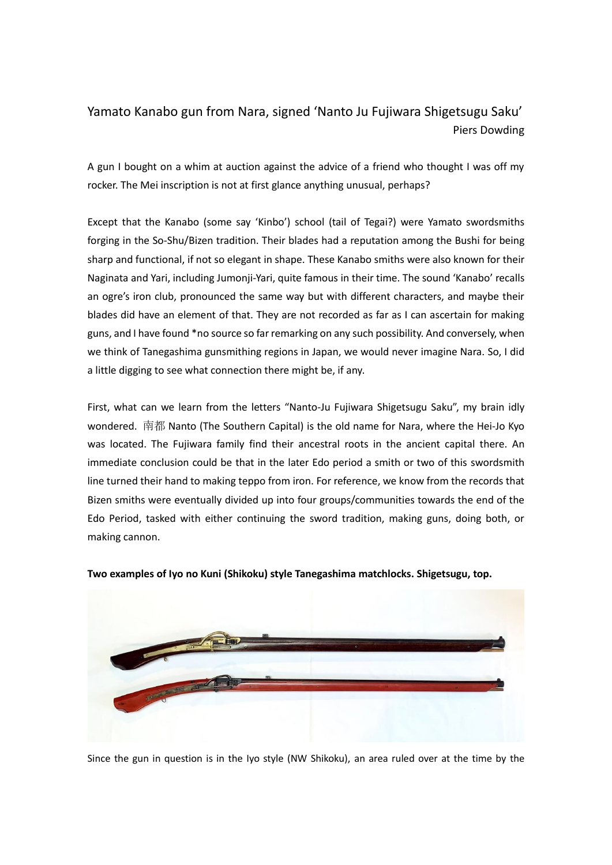# Yamato Kanabo gun from Nara, signed 'Nanto Ju Fujiwara Shigetsugu Saku' Piers Dowding

A gun I bought on a whim at auction against the advice of a friend who thought I was off my rocker. The Mei inscription is not at first glance anything unusual, perhaps?

Except that the Kanabo (some say 'Kinbo') school (tail of Tegai?) were Yamato swordsmiths forging in the So-Shu/Bizen tradition. Their blades had a reputation among the Bushi for being sharp and functional, if not so elegant in shape. These Kanabo smiths were also known for their Naginata and Yari, including Jumonji-Yari, quite famous in their time. The sound 'Kanabo' recalls an ogre's iron club, pronounced the same way but with different characters, and maybe their blades did have an element of that. They are not recorded as far as I can ascertain for making guns, and I have found \*no source so far remarking on any such possibility. And conversely, when we think of Tanegashima gunsmithing regions in Japan, we would never imagine Nara. So, I did a little digging to see what connection there might be, if any.

First, what can we learn from the letters "Nanto-Ju Fujiwara Shigetsugu Saku", my brain idly wondered. 南都 Nanto (The Southern Capital) is the old name for Nara, where the Hei-Jo Kyo was located. The Fujiwara family find their ancestral roots in the ancient capital there. An immediate conclusion could be that in the later Edo period a smith or two of this swordsmith line turned their hand to making teppo from iron. For reference, we know from the records that Bizen smiths were eventually divided up into four groups/communities towards the end of the Edo Period, tasked with either continuing the sword tradition, making guns, doing both, or making cannon.



**Two examples of Iyo no Kuni (Shikoku) style Tanegashima matchlocks. Shigetsugu, top.**

Since the gun in question is in the Iyo style (NW Shikoku), an area ruled over at the time by the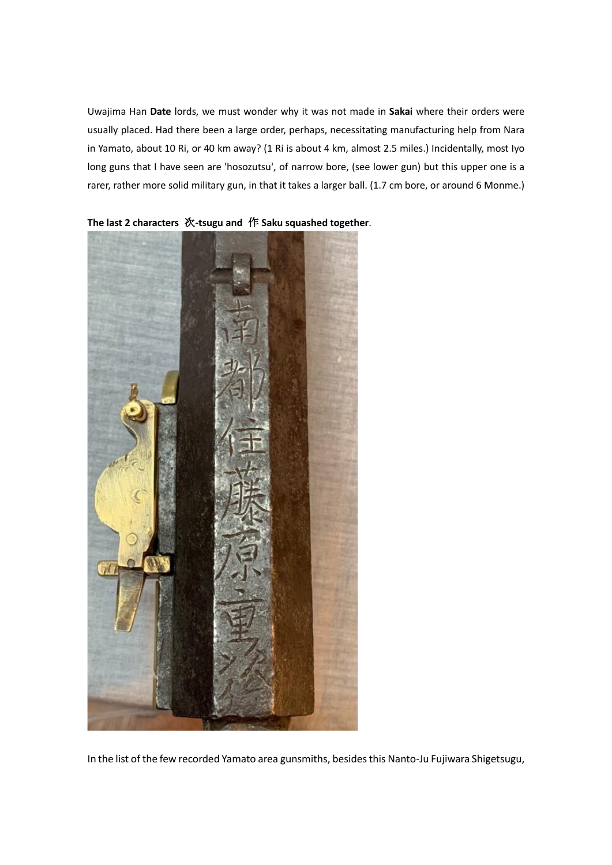Uwajima Han **Date** lords, we must wonder why it was not made in **Sakai** where their orders were usually placed. Had there been a large order, perhaps, necessitating manufacturing help from Nara in Yamato, about 10 Ri, or 40 km away? (1 Ri is about 4 km, almost 2.5 miles.) Incidentally, most Iyo long guns that I have seen are 'hosozutsu', of narrow bore, (see lower gun) but this upper one is a rarer, rather more solid military gun, in that it takes a larger ball. (1.7 cm bore, or around 6 Monme.)



**The last 2 characters** 次**-tsugu and** 作 **Saku squashed together**.

In the list of the few recorded Yamato area gunsmiths, besides this Nanto-Ju Fujiwara Shigetsugu,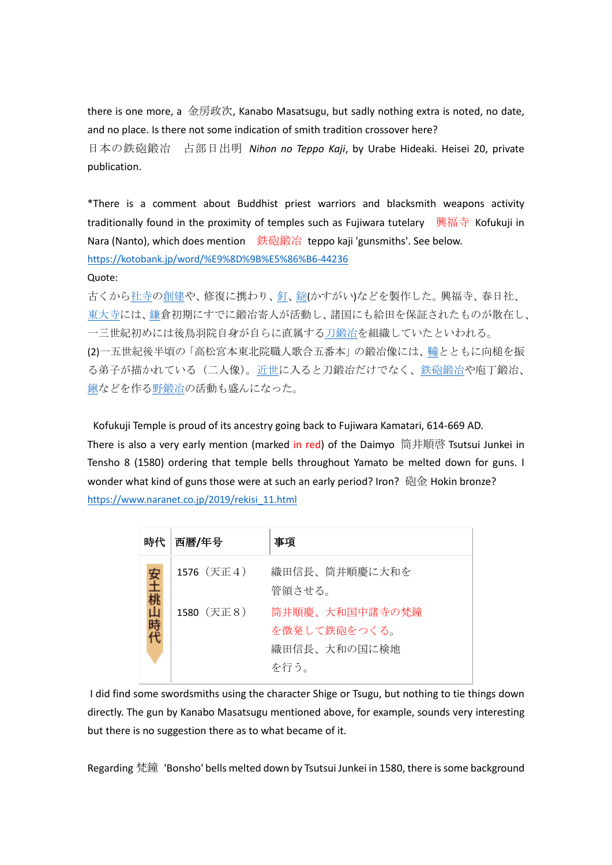there is one more, a 金房政次, Kanabo Masatsugu, but sadly nothing extra is noted, no date, and no place. Is there not some indication of smith tradition crossover here? 日本の鉄砲鍛冶 占部日出明 *Nihon no Teppo Kaji*, by Urabe Hideaki. Heisei 20, private publication.

\*There is a comment about Buddhist priest warriors and blacksmith weapons activity traditionally found in the proximity of temples such as Fujiwara tutelary 興福寺 Kofukuji in Nara (Nanto), which does mention 鉄砲鍛冶 teppo kaji 'gunsmiths'. See below. <https://kotobank.jp/word/%E9%8D%9B%E5%86%B6-44236>

## Quote:

古くから<u>社寺の創建</u>や、修復に携わり、<u>釘[、鎹](https://kotobank.jp/word/%E9%8E%B9-462544)</u>(かすがい)などを製作した。 興福寺、春日社、 [東大寺に](https://kotobank.jp/word/%E6%9D%B1%E5%A4%A7%E5%AF%BA-103867)は[、鎌倉](https://kotobank.jp/word/%E9%8E%8C-46504)初期にすでに鍛冶寄人が活動し、諸国にも給田を保証されたものが散在し、 一三世紀初めには後鳥羽院自身が自らに直属す[る刀鍛冶を](https://kotobank.jp/word/%E5%88%80%E9%8D%9B%E5%86%B6-463572)組織していたといわれる。 (2)一五世紀後半頃の「高松宮本東北院職人歌合五番本」の鍛冶像には[、鞴と](https://kotobank.jp/word/%E9%9E%B4-615463)ともに向槌を振 る弟子が描かれている(二人像)[。近世に](https://kotobank.jp/word/%E8%BF%91%E4%B8%96-54259)入ると刀鍛冶だけでなく[、鉄砲鍛冶や](https://kotobank.jp/word/%E9%89%84%E7%A0%B2%E9%8D%9B%E5%86%B6-101144)庖丁鍛冶、 [鍬な](https://kotobank.jp/word/%E9%8D%AC-58244)どを作[る野鍛冶の](https://kotobank.jp/word/%E9%87%8E%E9%8D%9B%E5%86%B6-596675)活動も盛んになった。

Kofukuji Temple is proud of its ancestry going back to Fujiwara Kamatari, 614-669 AD. There is also a very early mention (marked in red) of the Daimyo 筒井順啓 Tsutsui Junkei in Tensho 8 (1580) ordering that temple bells throughout Yamato be melted down for guns. I wonder what kind of guns those were at such an early period? Iron? 砲金 Hokin bronze? [https://www.naranet.co.jp/2019/rekisi\\_11.html](https://www.naranet.co.jp/2019/rekisi_11.html)

| 時代 | 西暦/年号      | 事項                                                     |
|----|------------|--------------------------------------------------------|
| 安土 | 1576 (天正4) | 織田信長、筒井順慶に大和を<br>管領させる。                                |
|    | 1580 (天正8) | 筒井順慶、大和国中諸寺の梵鐘<br>を徴発して鉄砲をつくる。<br>織田信長、大和の国に検地<br>を行う。 |

I did find some swordsmiths using the character Shige or Tsugu, but nothing to tie things down directly. The gun by Kanabo Masatsugu mentioned above, for example, sounds very interesting but there is no suggestion there as to what became of it.

Regarding 梵鐘 'Bonsho' bells melted down by Tsutsui Junkei in 1580, there is some background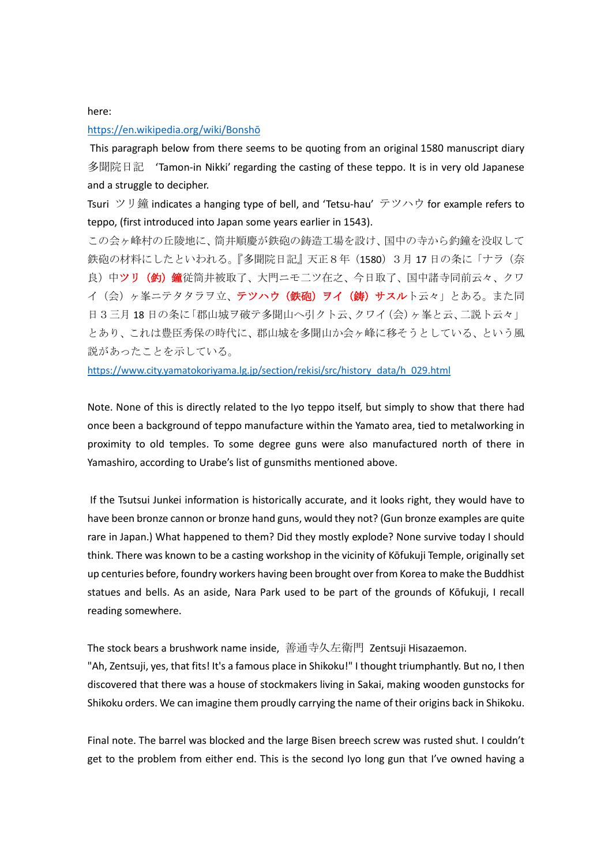#### here:

#### [https://en.wikipedia.org/wiki/Bonshō](https://en.wikipedia.org/wiki/Bonsh%C5%8D)

This paragraph below from there seems to be quoting from an original 1580 manuscript diary 多聞院日記 'Tamon-in Nikki' regarding the casting of these teppo. It is in very old Japanese and a struggle to decipher.

Tsuri ツリ鐘 indicates a hanging type of bell, and 'Tetsu-hau' テツハウ for example refers to teppo, (first introduced into Japan some years earlier in 1543).

この会ヶ峰村の丘陵地に、筒井順慶が鉄砲の鋳造工場を設け、国中の寺から釣鐘を没収して 鉄砲の材料にしたといわれる。『多聞院日記』天正8年 (1580) 3月 17 日の条に「ナラ(奈 良)中ツリ(釣)鐘従筒井被取了、大門ニモ二ツ在之、今日取了、国中諸寺同前云々、クワ イ(会)ヶ峯ニテタタラヲ立、テツハウ(鉄砲)ヲイ(鋳)サスルト云々」とある。また同 日3三月18日の条に「郡山城ヲ破テ多聞山へ引クト云、クワイ(会)ヶ峯と云、二説ト云々」 とあり、これは豊臣秀保の時代に、郡山城を多聞山か会ヶ峰に移そうとしている、という風 説があったことを示している。

[https://www.city.yamatokoriyama.lg.jp/section/rekisi/src/history\\_data/h\\_029.html](https://www.city.yamatokoriyama.lg.jp/section/rekisi/src/history_data/h_029.html)

Note. None of this is directly related to the Iyo teppo itself, but simply to show that there had once been a background of teppo manufacture within the Yamato area, tied to metalworking in proximity to old temples. To some degree guns were also manufactured north of there in Yamashiro, according to Urabe's list of gunsmiths mentioned above.

If the Tsutsui Junkei information is historically accurate, and it looks right, they would have to have been bronze cannon or bronze hand guns, would they not? (Gun bronze examples are quite rare in Japan.) What happened to them? Did they mostly explode? None survive today I should think. There was known to be a casting workshop in the vicinity of Kōfukuji Temple, originally set up centuries before, foundry workers having been brought over from Korea to make the Buddhist statues and bells. As an aside, Nara Park used to be part of the grounds of Kōfukuji, I recall reading somewhere.

The stock bears a brushwork name inside, 善通寺久左衛門 Zentsuji Hisazaemon.

"Ah, Zentsuji, yes, that fits! It's a famous place in Shikoku!" I thought triumphantly. But no, I then discovered that there was a house of stockmakers living in Sakai, making wooden gunstocks for Shikoku orders. We can imagine them proudly carrying the name of their origins back in Shikoku.

Final note. The barrel was blocked and the large Bisen breech screw was rusted shut. I couldn't get to the problem from either end. This is the second Iyo long gun that I've owned having a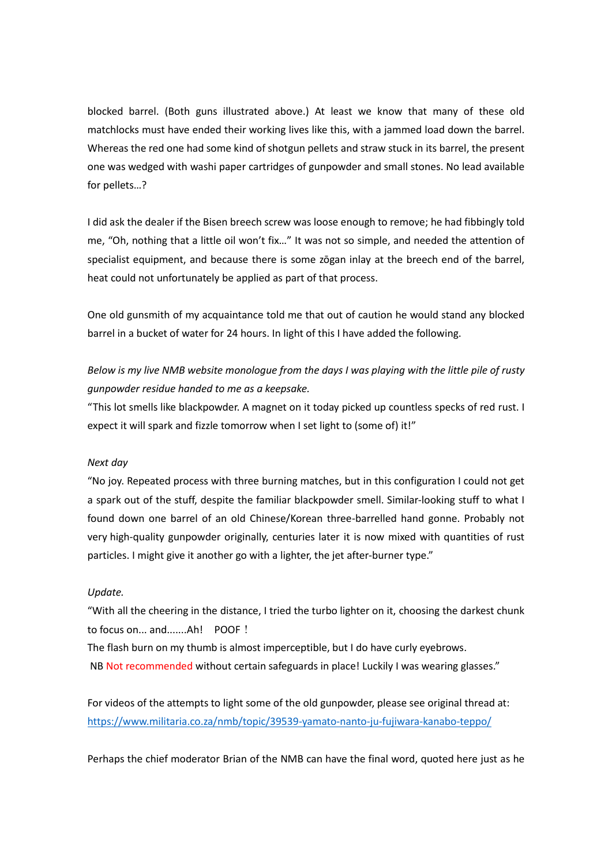blocked barrel. (Both guns illustrated above.) At least we know that many of these old matchlocks must have ended their working lives like this, with a jammed load down the barrel. Whereas the red one had some kind of shotgun pellets and straw stuck in its barrel, the present one was wedged with washi paper cartridges of gunpowder and small stones. No lead available for pellets…?

I did ask the dealer if the Bisen breech screw was loose enough to remove; he had fibbingly told me, "Oh, nothing that a little oil won't fix…" It was not so simple, and needed the attention of specialist equipment, and because there is some zōgan inlay at the breech end of the barrel, heat could not unfortunately be applied as part of that process.

One old gunsmith of my acquaintance told me that out of caution he would stand any blocked barrel in a bucket of water for 24 hours. In light of this I have added the following.

*Below is my live NMB website monologue from the days I was playing with the little pile of rusty gunpowder residue handed to me as a keepsake.*

"This lot smells like blackpowder. A magnet on it today picked up countless specks of red rust. I expect it will spark and fizzle tomorrow when I set light to (some of) it!"

### *Next day*

"No joy. Repeated process with three burning matches, but in this configuration I could not get a spark out of the stuff, despite the familiar blackpowder smell. Similar-looking stuff to what I found down one barrel of an old Chinese/Korean three-barrelled hand gonne. Probably not very high-quality gunpowder originally, centuries later it is now mixed with quantities of rust particles. I might give it another go with a lighter, the jet after-burner type."

#### *Update.*

"With all the cheering in the distance, I tried the turbo lighter on it, choosing the darkest chunk to focus on... and.......Ah! POOF!

The flash burn on my thumb is almost imperceptible, but I do have curly eyebrows. NB Not recommended without certain safeguards in place! Luckily I was wearing glasses."

For videos of the attempts to light some of the old gunpowder, please see original thread at: <https://www.militaria.co.za/nmb/topic/39539-yamato-nanto-ju-fujiwara-kanabo-teppo/>

Perhaps the chief moderator Brian of the NMB can have the final word, quoted here just as he